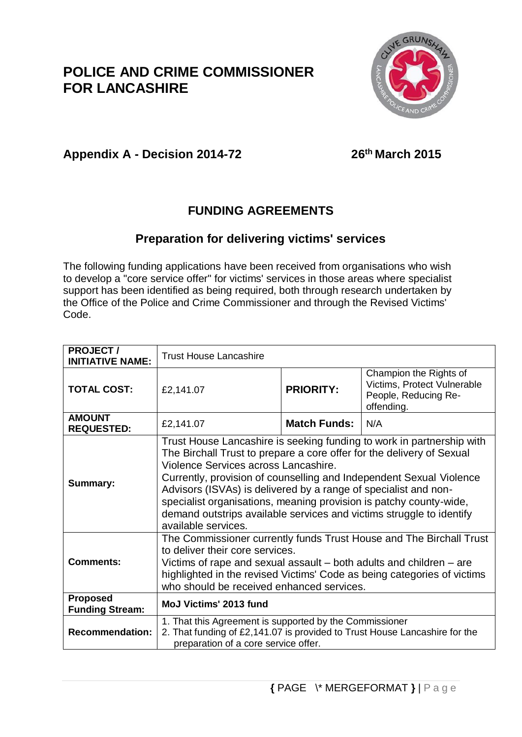### **POLICE AND CRIME COMMISSIONER FOR LANCASHIRE**



#### **Appendix A - Decision 2014-72**

**th March 2015**

## **FUNDING AGREEMENTS**

### **Preparation for delivering victims' services**

The following funding applications have been received from organisations who wish to develop a "core service offer" for victims' services in those areas where specialist support has been identified as being required, both through research undertaken by the Office of the Police and Crime Commissioner and through the Revised Victims' Code.

| <b>PROJECT /</b><br><b>INITIATIVE NAME:</b> | <b>Trust House Lancashire</b>                                                                                                                                                                                                                                                                                                                                                                                                                                                                         |                     |                                                                                             |
|---------------------------------------------|-------------------------------------------------------------------------------------------------------------------------------------------------------------------------------------------------------------------------------------------------------------------------------------------------------------------------------------------------------------------------------------------------------------------------------------------------------------------------------------------------------|---------------------|---------------------------------------------------------------------------------------------|
| <b>TOTAL COST:</b>                          | £2,141.07                                                                                                                                                                                                                                                                                                                                                                                                                                                                                             | <b>PRIORITY:</b>    | Champion the Rights of<br>Victims, Protect Vulnerable<br>People, Reducing Re-<br>offending. |
| <b>AMOUNT</b><br><b>REQUESTED:</b>          | £2,141.07                                                                                                                                                                                                                                                                                                                                                                                                                                                                                             | <b>Match Funds:</b> | N/A                                                                                         |
| <b>Summary:</b>                             | Trust House Lancashire is seeking funding to work in partnership with<br>The Birchall Trust to prepare a core offer for the delivery of Sexual<br>Violence Services across Lancashire.<br>Currently, provision of counselling and Independent Sexual Violence<br>Advisors (ISVAs) is delivered by a range of specialist and non-<br>specialist organisations, meaning provision is patchy county-wide,<br>demand outstrips available services and victims struggle to identify<br>available services. |                     |                                                                                             |
| <b>Comments:</b>                            | The Commissioner currently funds Trust House and The Birchall Trust<br>to deliver their core services.<br>Victims of rape and sexual assault - both adults and children - are<br>highlighted in the revised Victims' Code as being categories of victims<br>who should be received enhanced services.                                                                                                                                                                                                 |                     |                                                                                             |
| <b>Proposed</b><br><b>Funding Stream:</b>   | <b>MoJ Victims' 2013 fund</b>                                                                                                                                                                                                                                                                                                                                                                                                                                                                         |                     |                                                                                             |
| <b>Recommendation:</b>                      | 1. That this Agreement is supported by the Commissioner<br>2. That funding of £2,141.07 is provided to Trust House Lancashire for the<br>preparation of a core service offer.                                                                                                                                                                                                                                                                                                                         |                     |                                                                                             |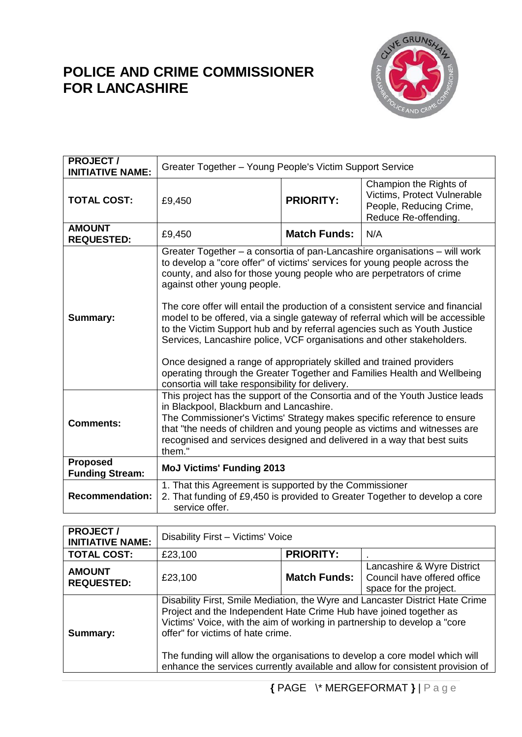# **POLICE AND CRIME COMMISSIONER FOR LANCASHIRE**



| <b>PROJECT/</b><br><b>INITIATIVE NAME:</b> | Greater Together - Young People's Victim Support Service                                                                                                                                                                                                                                                                                                                                                                                                                                                                                                                                                                                                                                                                                                                                            |                     |                                                                                                          |
|--------------------------------------------|-----------------------------------------------------------------------------------------------------------------------------------------------------------------------------------------------------------------------------------------------------------------------------------------------------------------------------------------------------------------------------------------------------------------------------------------------------------------------------------------------------------------------------------------------------------------------------------------------------------------------------------------------------------------------------------------------------------------------------------------------------------------------------------------------------|---------------------|----------------------------------------------------------------------------------------------------------|
| <b>TOTAL COST:</b>                         | £9,450                                                                                                                                                                                                                                                                                                                                                                                                                                                                                                                                                                                                                                                                                                                                                                                              | <b>PRIORITY:</b>    | Champion the Rights of<br>Victims, Protect Vulnerable<br>People, Reducing Crime,<br>Reduce Re-offending. |
| <b>AMOUNT</b><br><b>REQUESTED:</b>         | £9,450                                                                                                                                                                                                                                                                                                                                                                                                                                                                                                                                                                                                                                                                                                                                                                                              | <b>Match Funds:</b> | N/A                                                                                                      |
| <b>Summary:</b>                            | Greater Together - a consortia of pan-Lancashire organisations - will work<br>to develop a "core offer" of victims' services for young people across the<br>county, and also for those young people who are perpetrators of crime<br>against other young people.<br>The core offer will entail the production of a consistent service and financial<br>model to be offered, via a single gateway of referral which will be accessible<br>to the Victim Support hub and by referral agencies such as Youth Justice<br>Services, Lancashire police, VCF organisations and other stakeholders.<br>Once designed a range of appropriately skilled and trained providers<br>operating through the Greater Together and Families Health and Wellbeing<br>consortia will take responsibility for delivery. |                     |                                                                                                          |
| <b>Comments:</b>                           | This project has the support of the Consortia and of the Youth Justice leads<br>in Blackpool, Blackburn and Lancashire.<br>The Commissioner's Victims' Strategy makes specific reference to ensure<br>that "the needs of children and young people as victims and witnesses are<br>recognised and services designed and delivered in a way that best suits<br>them."                                                                                                                                                                                                                                                                                                                                                                                                                                |                     |                                                                                                          |
| <b>Proposed</b><br><b>Funding Stream:</b>  | <b>MoJ Victims' Funding 2013</b>                                                                                                                                                                                                                                                                                                                                                                                                                                                                                                                                                                                                                                                                                                                                                                    |                     |                                                                                                          |
| <b>Recommendation:</b>                     | 1. That this Agreement is supported by the Commissioner<br>2. That funding of £9,450 is provided to Greater Together to develop a core<br>service offer.                                                                                                                                                                                                                                                                                                                                                                                                                                                                                                                                                                                                                                            |                     |                                                                                                          |

| <b>PROJECT/</b><br><b>INITIATIVE NAME:</b> | Disability First - Victims' Voice                                                                                                                                                                                                                                                                                                                                                                                                       |                     |                                                                                     |
|--------------------------------------------|-----------------------------------------------------------------------------------------------------------------------------------------------------------------------------------------------------------------------------------------------------------------------------------------------------------------------------------------------------------------------------------------------------------------------------------------|---------------------|-------------------------------------------------------------------------------------|
| <b>TOTAL COST:</b>                         | £23,100                                                                                                                                                                                                                                                                                                                                                                                                                                 | <b>PRIORITY:</b>    |                                                                                     |
| <b>AMOUNT</b><br><b>REQUESTED:</b>         | £23,100                                                                                                                                                                                                                                                                                                                                                                                                                                 | <b>Match Funds:</b> | Lancashire & Wyre District<br>Council have offered office<br>space for the project. |
| Summary:                                   | Disability First, Smile Mediation, the Wyre and Lancaster District Hate Crime<br>Project and the Independent Hate Crime Hub have joined together as<br>Victims' Voice, with the aim of working in partnership to develop a "core"<br>offer" for victims of hate crime.<br>The funding will allow the organisations to develop a core model which will<br>enhance the services currently available and allow for consistent provision of |                     |                                                                                     |